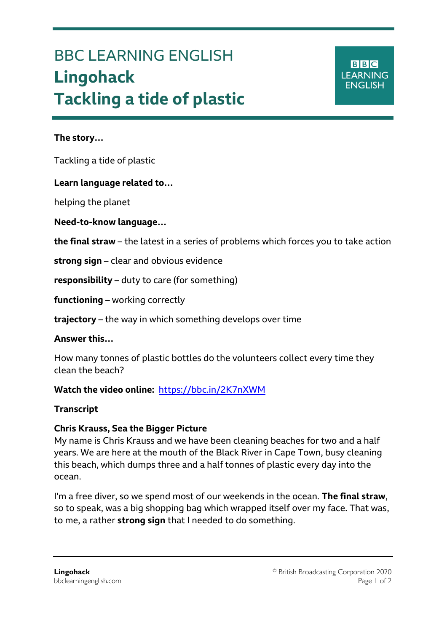# BBC LEARNING ENGLISH **Lingohack Tackling a tide of plastic**

#### **The story…**

Ξ

Tackling a tide of plastic

#### **Learn language related to…**

helping the planet

#### **Need-to-know language…**

**the final straw** – the latest in a series of problems which forces you to take action

**strong sign** – clear and obvious evidence

**responsibility** – duty to care (for something)

**functioning** – working correctly

**trajectory** – the way in which something develops over time

#### **Answer this…**

How many tonnes of plastic bottles do the volunteers collect every time they clean the beach?

### **Watch the video online:** <https://bbc.in/2K7nXWM>

#### **Transcript**

#### **Chris Krauss, Sea the Bigger Picture**

My name is Chris Krauss and we have been cleaning beaches for two and a half years. We are here at the mouth of the Black River in Cape Town, busy cleaning this beach, which dumps three and a half tonnes of plastic every day into the ocean.

I'm a free diver, so we spend most of our weekends in the ocean. **The final straw**, so to speak, was a big shopping bag which wrapped itself over my face. That was, to me, a rather **strong sign** that I needed to do something.